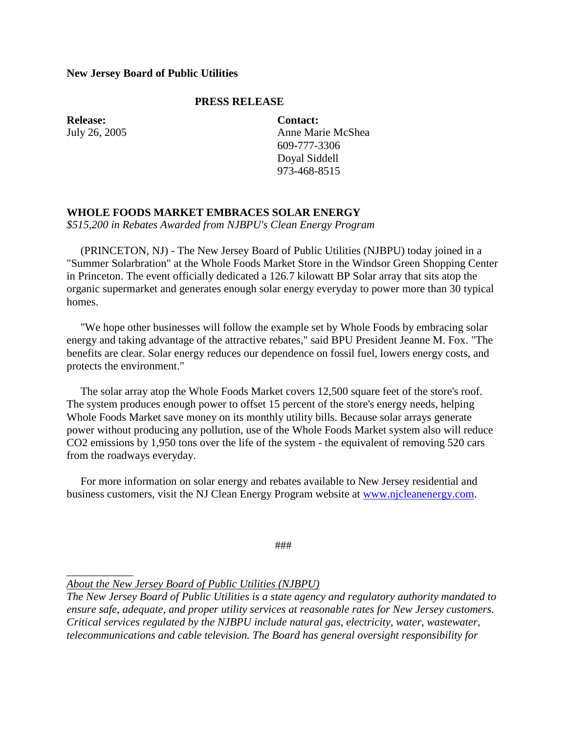## **New Jersey Board of Public Utilities**

## **PRESS RELEASE**

**Release:** July 26, 2005

*\_\_\_\_\_\_\_\_\_\_\_\_*

**Contact:** Anne Marie McShea 609-777-3306 Doyal Siddell 973-468-8515

## **WHOLE FOODS MARKET EMBRACES SOLAR ENERGY**

*\$515,200 in Rebates Awarded from NJBPU's Clean Energy Program*

 (PRINCETON, NJ) - The New Jersey Board of Public Utilities (NJBPU) today joined in a "Summer Solarbration" at the Whole Foods Market Store in the Windsor Green Shopping Center in Princeton. The event officially dedicated a 126.7 kilowatt BP Solar array that sits atop the organic supermarket and generates enough solar energy everyday to power more than 30 typical homes.

 "We hope other businesses will follow the example set by Whole Foods by embracing solar energy and taking advantage of the attractive rebates," said BPU President Jeanne M. Fox. "The benefits are clear. Solar energy reduces our dependence on fossil fuel, lowers energy costs, and protects the environment."

 The solar array atop the Whole Foods Market covers 12,500 square feet of the store's roof. The system produces enough power to offset 15 percent of the store's energy needs, helping Whole Foods Market save money on its monthly utility bills. Because solar arrays generate power without producing any pollution, use of the Whole Foods Market system also will reduce CO2 emissions by 1,950 tons over the life of the system - the equivalent of removing 520 cars from the roadways everyday.

 For more information on solar energy and rebates available to New Jersey residential and business customers, visit the NJ Clean Energy Program website at [www.njcleanenergy.com.](http://www.njcleanenergy.com/)

###

*About the New Jersey Board of Public Utilities (NJBPU)*

*The New Jersey Board of Public Utilities is a state agency and regulatory authority mandated to ensure safe, adequate, and proper utility services at reasonable rates for New Jersey customers. Critical services regulated by the NJBPU include natural gas, electricity, water, wastewater, telecommunications and cable television. The Board has general oversight responsibility for*